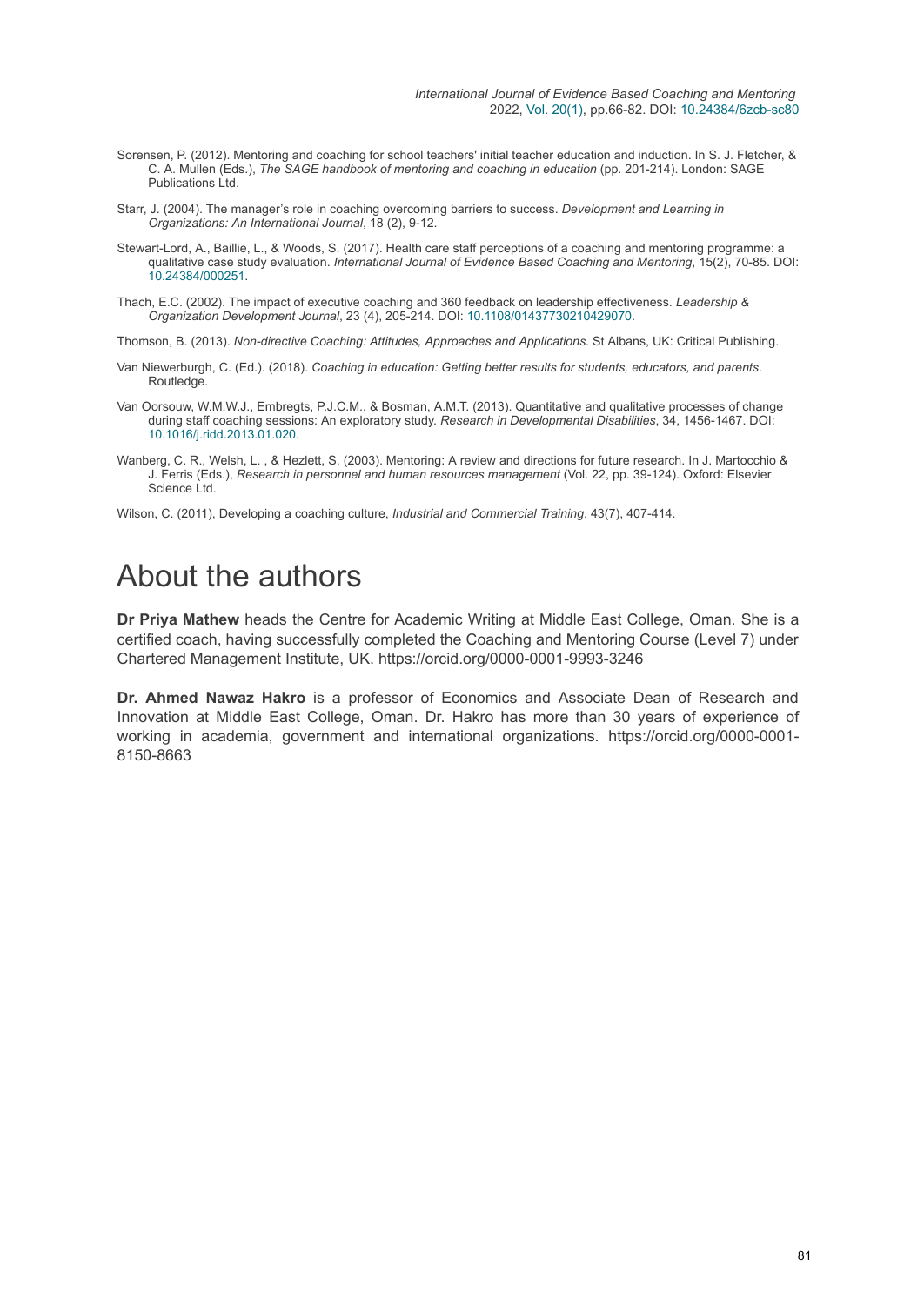- Sorensen, P. (2012). Mentoring and coaching for school teachers' initial teacher education and induction. In S. J. Fletcher, & C. A. Mullen (Eds.), *The SAGE handbook of mentoring and coaching in education* (pp. 201-214). London: SAGE Publications Ltd.
- Starr, J. (2004). The manager's role in coaching overcoming barriers to success. *Development and Learning in Organizations: An International Journal*, 18 (2), 9-12.
- Stewart-Lord, A., Baillie, L., & Woods, S. (2017). Health care staff perceptions of a coaching and mentoring programme: a qualitative case study evaluation. *International Journal of Evidence Based Coaching and Mentoring*, 15(2), 70-85. DOI: [10.24384/000251.](https://doi.org/10.24384/000251)
- Thach, E.C. (2002). The impact of executive coaching and 360 feedback on leadership effectiveness. *Leadership & Organization Development Journal*, 23 (4), 205-214. DOI: [10.1108/01437730210429070](https://doi.org/10.1108/01437730210429070).

Thomson, B. (2013). *Non-directive Coaching: Attitudes, Approaches and Applications*. St Albans, UK: Critical Publishing.

- Van Niewerburgh, C. (Ed.). (2018). *Coaching in education: Getting better results for students, educators, and parents*. Routledge.
- Van Oorsouw, W.M.W.J., Embregts, P.J.C.M., & Bosman, A.M.T. (2013). Quantitative and qualitative processes of change during staff coaching sessions: An exploratory study. *Research in Developmental Disabilities*, 34, 1456-1467. DOI: [10.1016/j.ridd.2013.01.020](https://doi.org/10.1016/j.ridd.2013.01.020).
- Wanberg, C. R., Welsh, L. , & Hezlett, S. (2003). Mentoring: A review and directions for future research. In J. Martocchio & J. Ferris (Eds.), *Research in personnel and human resources management* (Vol. 22, pp. 39-124). Oxford: Elsevier Science Ltd.

Wilson, C. (2011), Developing a coaching culture, *Industrial and Commercial Training*, 43(7), 407-414.

## About the authors

**Dr Priya Mathew** heads the Centre for Academic Writing at Middle East College, Oman. She is a certified coach, having successfully completed the Coaching and Mentoring Course (Level 7) under Chartered Management Institute, UK. https://orcid.org/0000-0001-9993-3246

**Dr. Ahmed Nawaz Hakro** is a professor of Economics and Associate Dean of Research and Innovation at Middle East College, Oman. Dr. Hakro has more than 30 years of experience of working in academia, government and international organizations. https://orcid.org/0000-0001- 8150-8663